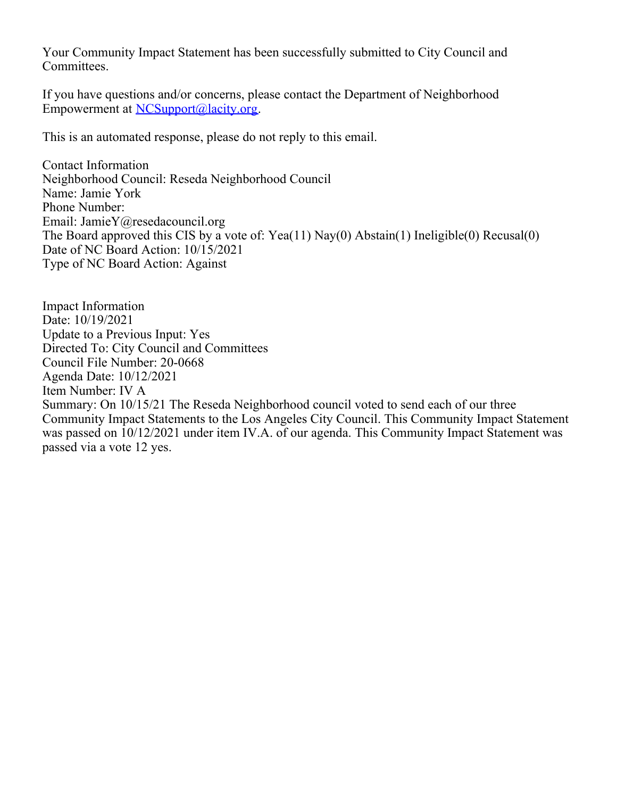Your Community Impact Statement has been successfully submitted to City Council and Committees.

If you have questions and/or concerns, please contact the Department of Neighborhood Empowerment at [NCSupport@lacity.org](mailto:NCSupport@lacity.org).

This is an automated response, please do not reply to this email.

Contact Information Neighborhood Council: Reseda Neighborhood Council Name: Jamie York Phone Number: Email: JamieY@resedacouncil.org The Board approved this CIS by a vote of: Yea(11) Nay(0) Abstain(1) Ineligible(0) Recusal(0) Date of NC Board Action: 10/15/2021 Type of NC Board Action: Against

Impact Information Date: 10/19/2021 Update to a Previous Input: Yes Directed To: City Council and Committees Council File Number: 20-0668 Agenda Date: 10/12/2021 Item Number: IV A Summary: On 10/15/21 The Reseda Neighborhood council voted to send each of our three Community Impact Statements to the Los Angeles City Council. This Community Impact Statement was passed on 10/12/2021 under item IV.A. of our agenda. This Community Impact Statement was passed via a vote 12 yes.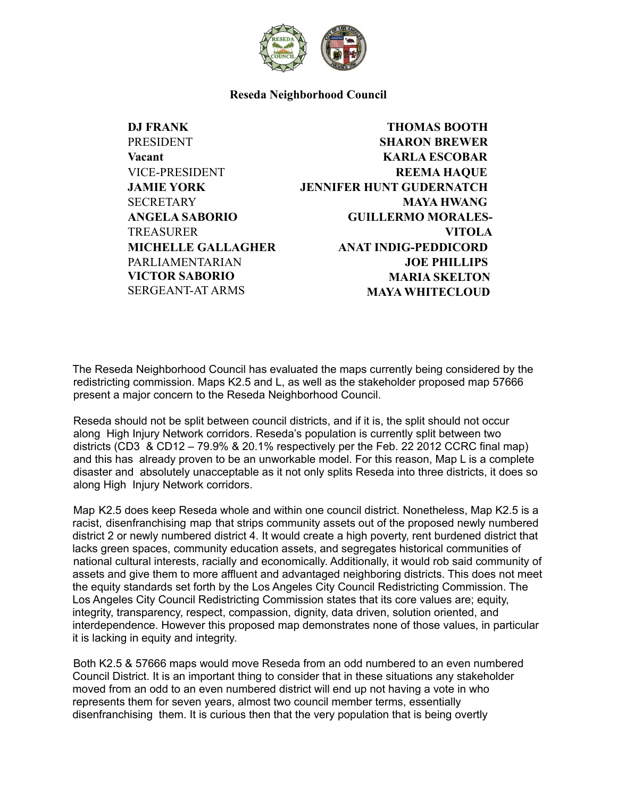

## **Reseda Neighborhood Council**

**DJ FRANK PRESIDENT Vacant** VICE-PRESIDENT **JAMIE YORK SECRETARY ANGELA SABORIO TREASURER MICHELLE GALLAGHER** PARLIAMENTARIAN **VICTOR SABORIO** SERGEANT-AT ARMS

**THOMAS BOOTH SHARON BREWER KARLA ESCOBAR REEMA HAQUE JENNIFER HUNT GUDERNATCH MAYA HWANG GUILLERMO MORALES-VITOLA ANAT INDIG-PEDDICORD JOE PHILLIPS MARIA SKELTON MAYA WHITECLOUD**

The Reseda Neighborhood Council has evaluated the maps currently being considered by the redistricting commission. Maps K2.5 and L, as well as the stakeholder proposed map 57666 present a major concern to the Reseda Neighborhood Council.

Reseda should not be split between council districts, and if it is, the split should not occur along High Injury Network corridors. Reseda's population is currently split between two districts (CD3 & CD12 – 79.9% & 20.1% respectively per the Feb. 22 2012 CCRC final map) and this has already proven to be an unworkable model. For this reason, Map L is a complete disaster and absolutely unacceptable as it not only splits Reseda into three districts, it does so along High Injury Network corridors.

Map K2.5 does keep Reseda whole and within one council district. Nonetheless, Map K2.5 is a racist, disenfranchising map that strips community assets out of the proposed newly numbered district 2 or newly numbered district 4. It would create a high poverty, rent burdened district that lacks green spaces, community education assets, and segregates historical communities of national cultural interests, racially and economically. Additionally, it would rob said community of assets and give them to more affluent and advantaged neighboring districts. This does not meet the equity standards set forth by the Los Angeles City Council Redistricting Commission. The Los Angeles City Council Redistricting Commission states that its core values are; equity, integrity, transparency, respect, compassion, dignity, data driven, solution oriented, and interdependence. However this proposed map demonstrates none of those values, in particular it is lacking in equity and integrity.

Both K2.5 & 57666 maps would move Reseda from an odd numbered to an even numbered Council District. It is an important thing to consider that in these situations any stakeholder moved from an odd to an even numbered district will end up not having a vote in who represents them for seven years, almost two council member terms, essentially disenfranchising them. It is curious then that the very population that is being overtly